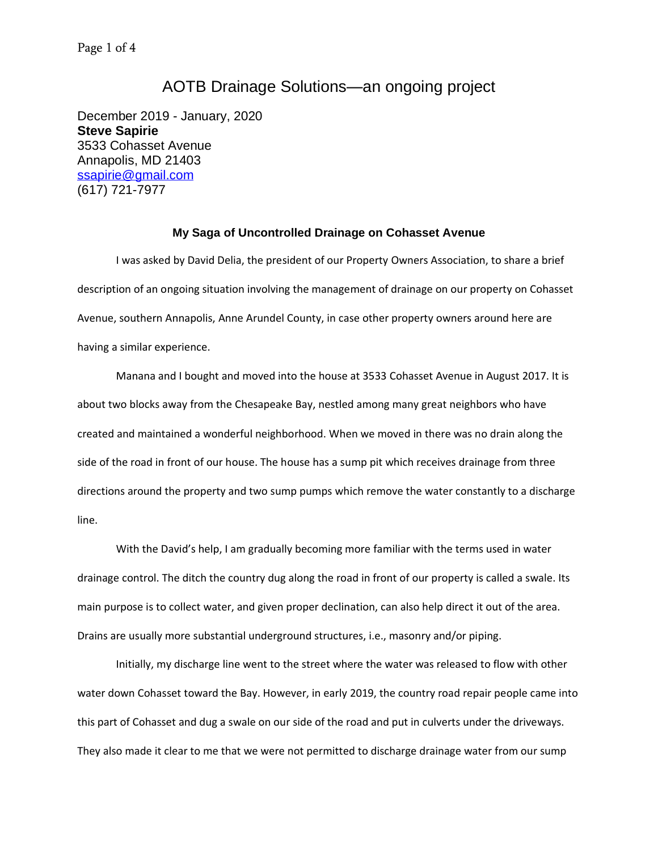## AOTB Drainage Solutions—an ongoing project

December 2019 - January, 2020 **Steve Sapirie** 3533 Cohasset Avenue Annapolis, MD 21403 [ssapirie@gmail.com](mailto:ssapirie@gmail.com) (617) 721-7977

## **My Saga of Uncontrolled Drainage on Cohasset Avenue**

I was asked by David Delia, the president of our Property Owners Association, to share a brief description of an ongoing situation involving the management of drainage on our property on Cohasset Avenue, southern Annapolis, Anne Arundel County, in case other property owners around here are having a similar experience.

Manana and I bought and moved into the house at 3533 Cohasset Avenue in August 2017. It is about two blocks away from the Chesapeake Bay, nestled among many great neighbors who have created and maintained a wonderful neighborhood. When we moved in there was no drain along the side of the road in front of our house. The house has a sump pit which receives drainage from three directions around the property and two sump pumps which remove the water constantly to a discharge line.

With the David's help, I am gradually becoming more familiar with the terms used in water drainage control. The ditch the country dug along the road in front of our property is called a swale. Its main purpose is to collect water, and given proper declination, can also help direct it out of the area. Drains are usually more substantial underground structures, i.e., masonry and/or piping.

Initially, my discharge line went to the street where the water was released to flow with other water down Cohasset toward the Bay. However, in early 2019, the country road repair people came into this part of Cohasset and dug a swale on our side of the road and put in culverts under the driveways. They also made it clear to me that we were not permitted to discharge drainage water from our sump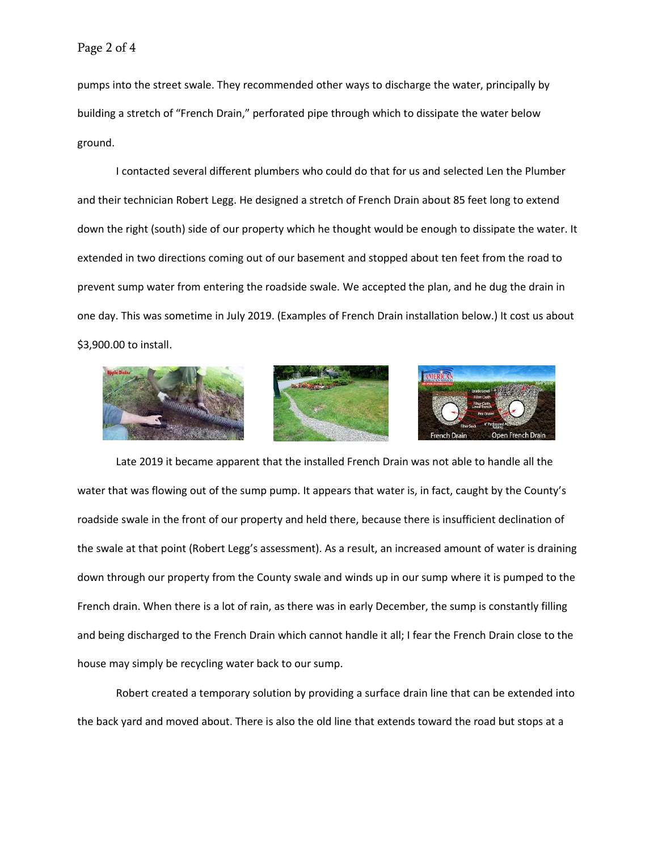pumps into the street swale. They recommended other ways to discharge the water, principally by building a stretch of "French Drain," perforated pipe through which to dissipate the water below ground.

I contacted several different plumbers who could do that for us and selected Len the Plumber and their technician Robert Legg. He designed a stretch of French Drain about 85 feet long to extend down the right (south) side of our property which he thought would be enough to dissipate the water. It extended in two directions coming out of our basement and stopped about ten feet from the road to prevent sump water from entering the roadside swale. We accepted the plan, and he dug the drain in one day. This was sometime in July 2019. (Examples of French Drain installation below.) It cost us about \$3,900.00 to install.







Late 2019 it became apparent that the installed French Drain was not able to handle all the water that was flowing out of the sump pump. It appears that water is, in fact, caught by the County's roadside swale in the front of our property and held there, because there is insufficient declination of the swale at that point (Robert Legg's assessment). As a result, an increased amount of water is draining down through our property from the County swale and winds up in our sump where it is pumped to the French drain. When there is a lot of rain, as there was in early December, the sump is constantly filling and being discharged to the French Drain which cannot handle it all; I fear the French Drain close to the house may simply be recycling water back to our sump.

Robert created a temporary solution by providing a surface drain line that can be extended into the back yard and moved about. There is also the old line that extends toward the road but stops at a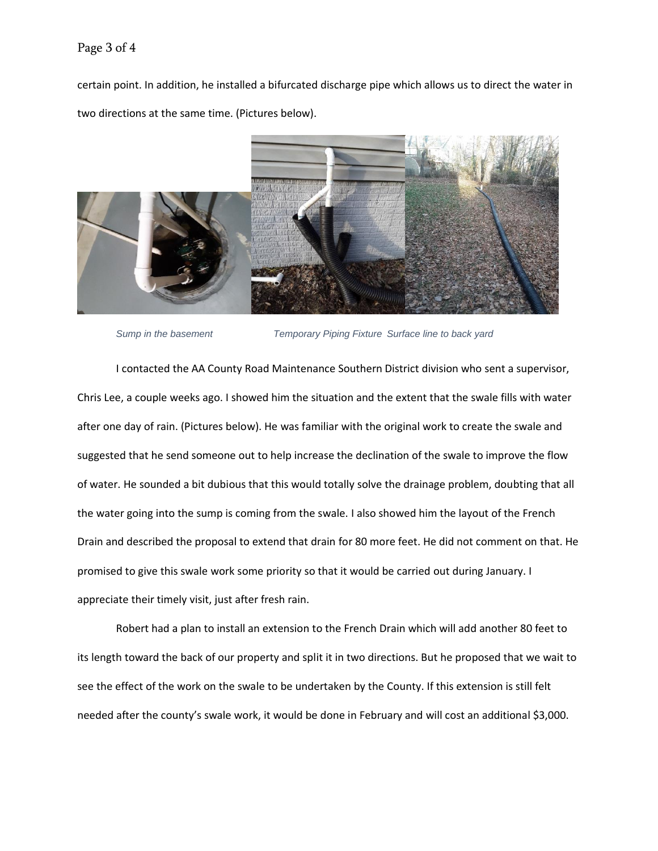## Page 3 of 4

certain point. In addition, he installed a bifurcated discharge pipe which allows us to direct the water in two directions at the same time. (Pictures below).



*Sump in the basement Temporary Piping Fixture Surface line to back yard*

I contacted the AA County Road Maintenance Southern District division who sent a supervisor, Chris Lee, a couple weeks ago. I showed him the situation and the extent that the swale fills with water after one day of rain. (Pictures below). He was familiar with the original work to create the swale and suggested that he send someone out to help increase the declination of the swale to improve the flow of water. He sounded a bit dubious that this would totally solve the drainage problem, doubting that all the water going into the sump is coming from the swale. I also showed him the layout of the French Drain and described the proposal to extend that drain for 80 more feet. He did not comment on that. He promised to give this swale work some priority so that it would be carried out during January. I appreciate their timely visit, just after fresh rain.

Robert had a plan to install an extension to the French Drain which will add another 80 feet to its length toward the back of our property and split it in two directions. But he proposed that we wait to see the effect of the work on the swale to be undertaken by the County. If this extension is still felt needed after the county's swale work, it would be done in February and will cost an additional \$3,000.